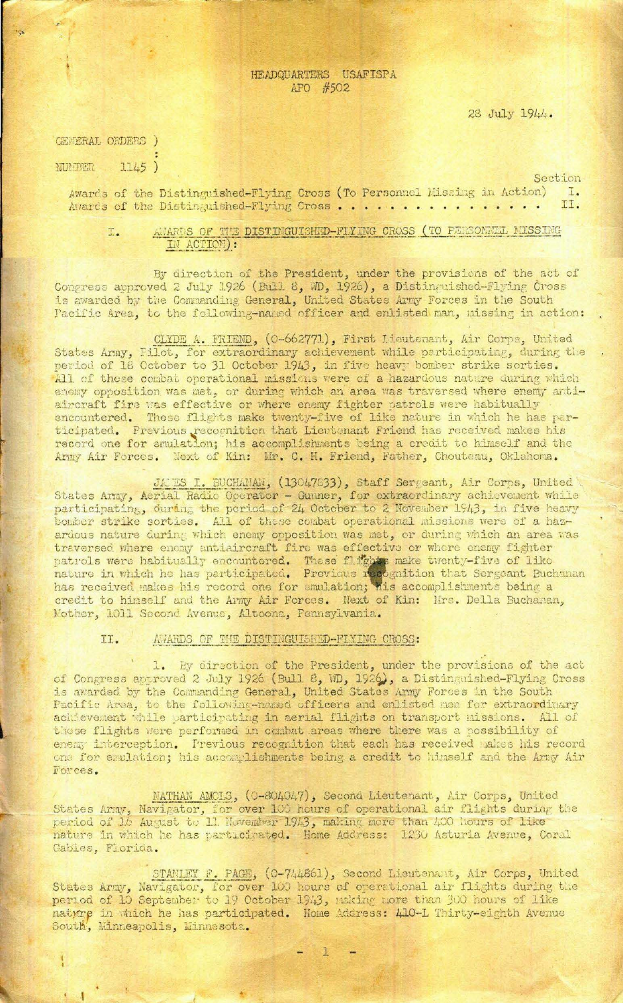## HEADQUARTERS USAFISPA APO #502

28 July 1944.

| CENERAL ORDERS ) |       |  |
|------------------|-------|--|
| NUMBER           | 1145) |  |

Section

Awards of the Distinguished-Flying Cross (To Personnel Missing in Action) I. II. Avards of the Distinguished-Flying Cross..................

AWARDS OF THE DISTINGUISHED-FIYING CROSS (TO PERSONEEL MISSING I. IN ACTION) :

By direction of the President, under the provisions of the act of Congress approved 2 July 1926 (Bull 8, MD, 1926), a Distinguished-Flying Cross is awarded by the Commanding General, United States Army Forces in the South Pacific Area, to the following-named officer and enlisted man, missing in action:

CLYDE A. FRIEND, (0-662771), First Lieutenant, Air Corps, United States Army, Filot, for extraordinary achievement while participating, during the period of 18 October to 31 October 1943, in five heavy bomber strike sorties. All of these combat operational missions were of a hazardous nature during which enemy opposition was met, or during which an area was traversed where enemy antiaircraft fire was effective or where enemy fighter patrols were habitually encountered. These flights make twenty-five of like nature in which he has participated. Previous recognition that Lieutenant Friend has received makes his record one for emulation; his accomplishments being a credit to himself and the Army Air Forces. Next of Kin: Mr. C. H. Friend, Father, Chouteau, Oklahoma.

JAMES I. BUCHANAN, (13047833), Staff Sergeant, Air Corps, United

States Army, Aerial Radio Operator - Gunner, for extraordinary achievement while participating, during the period of 24 October to 2 November 1943, in five heavy bomber strike sorties. All of these combat operational missions were of a hazardous nature during which enemy opposition was met, or during which an area was traversed where enemy antiaircraft fire was effective or where enemy fighter patrols were habitually encountered. These flights make twenty-five of like nature in which he has participated. Previous recognition that Sergeant Buchanan has received makes his record one for emulation; his accomplishments being a credit to himself and the Army Air Forces. Next of Kin: Mrs. Della Buchanan, Nother, 1011 Second Avenue, Altoona, Pennsylvania.

## II. AWARDS OF THE DISTINGUISHED-FIXING CROSS:

1. By direction of the President, under the provisions of the act of Congress approved 2 July 1926 (Bull 8, MD, 1926), a Distinguished-Flying Cross is awarded by the Commanding General, United States Army Forces in the South Pacific Area, to the following-named officers and enlisted men for extraordinary achievement while participating in aerial flights on transport missions. All of these flights were performed in combat areas where there was a possibility of enemy interception. Previous recognition that each has received makes his record one for emulation; his accomplishments being a credit to himself and the Army Air Forces.

NATHAN AMCLS, (0-804047), Second Lieutenant, Air Corps, United States Army, Navigator, for over 100 hours of operational air flights during the period of 16 August to 11 November 1943, making more than 400 hours of like nature in which he has particirated. Home Address: 1230 Asturia Avenue, Coral Gables, Florida.

STANLEY F. PAGE, (0-744861), Second Lieutenant, Air Corps, United States Army, Navigator, for over 100 hours of operational air flights during the period of 10 September to 19 October 1943, naking more than 300 hours of like natyre in which he has participated. Home Address: 410-L Thirty-eighth Avenue South, Minneapolis, Minnesota.